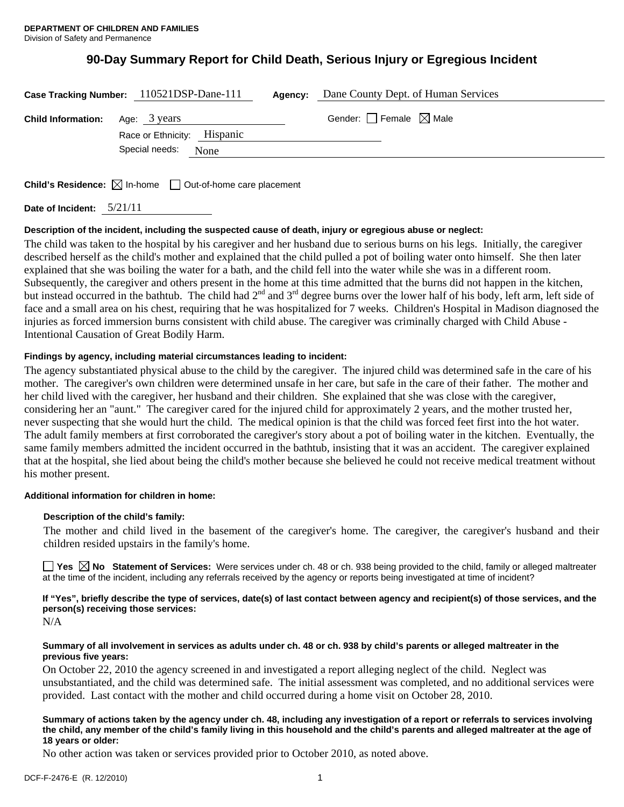# **90-Day Summary Report for Child Death, Serious Injury or Egregious Incident**

|                                        | Case Tracking Number: 110521DSP-Dane-111              | Agency: | Dane County Dept. of Human Services    |
|----------------------------------------|-------------------------------------------------------|---------|----------------------------------------|
| <b>Child Information:</b> Age: 3 years | Race or Ethnicity: Hispanic<br>Special needs:<br>None |         | Gender: $\Box$ Female $\boxtimes$ Male |
|                                        |                                                       |         |                                        |

**Child's Residence:**  $\boxtimes$  In-home  $\Box$  Out-of-home care placement

**Date of Incident:** 5/21/11

# **Description of the incident, including the suspected cause of death, injury or egregious abuse or neglect:**

The child was taken to the hospital by his caregiver and her husband due to serious burns on his legs. Initially, the caregiver described herself as the child's mother and explained that the child pulled a pot of boiling water onto himself. She then later explained that she was boiling the water for a bath, and the child fell into the water while she was in a different room. Subsequently, the caregiver and others present in the home at this time admitted that the burns did not happen in the kitchen, but instead occurred in the bathtub. The child had 2<sup>nd</sup> and 3<sup>rd</sup> degree burns over the lower half of his body, left arm, left side of face and a small area on his chest, requiring that he was hospitalized for 7 weeks. Children's Hospital in Madison diagnosed the injuries as forced immersion burns consistent with child abuse. The caregiver was criminally charged with Child Abuse - Intentional Causation of Great Bodily Harm.

# **Findings by agency, including material circumstances leading to incident:**

The agency substantiated physical abuse to the child by the caregiver. The injured child was determined safe in the care of his mother. The caregiver's own children were determined unsafe in her care, but safe in the care of their father. The mother and her child lived with the caregiver, her husband and their children. She explained that she was close with the caregiver, considering her an "aunt." The caregiver cared for the injured child for approximately 2 years, and the mother trusted her, never suspecting that she would hurt the child. The medical opinion is that the child was forced feet first into the hot water. The adult family members at first corroborated the caregiver's story about a pot of boiling water in the kitchen. Eventually, the same family members admitted the incident occurred in the bathtub, insisting that it was an accident. The caregiver explained that at the hospital, she lied about being the child's mother because she believed he could not receive medical treatment without his mother present.

# **Additional information for children in home:**

# **Description of the child's family:**

The mother and child lived in the basement of the caregiver's home. The caregiver, the caregiver's husband and their children resided upstairs in the family's home.

■ Yes **No** Statement of Services: Were services under ch. 48 or ch. 938 being provided to the child, family or alleged maltreater at the time of the incident, including any referrals received by the agency or reports being investigated at time of incident?

**If "Yes", briefly describe the type of services, date(s) of last contact between agency and recipient(s) of those services, and the person(s) receiving those services:** 

N/A

## **Summary of all involvement in services as adults under ch. 48 or ch. 938 by child's parents or alleged maltreater in the previous five years:**

On October 22, 2010 the agency screened in and investigated a report alleging neglect of the child. Neglect was unsubstantiated, and the child was determined safe. The initial assessment was completed, and no additional services were provided. Last contact with the mother and child occurred during a home visit on October 28, 2010.

### **Summary of actions taken by the agency under ch. 48, including any investigation of a report or referrals to services involving the child, any member of the child's family living in this household and the child's parents and alleged maltreater at the age of 18 years or older:**

No other action was taken or services provided prior to October 2010, as noted above.